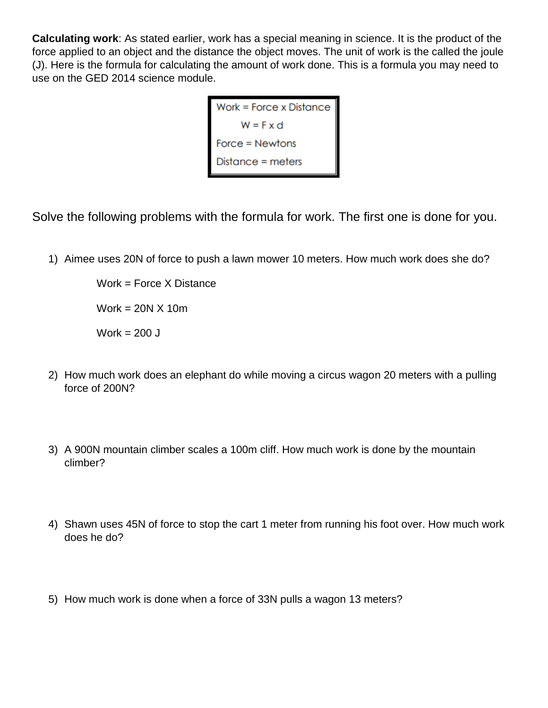**Calculating work**: As stated earlier, work has a special meaning in science. It is the product of the force applied to an object and the distance the object moves. The unit of work is the called the joule (J). Here is the formula for calculating the amount of work done. This is a formula you may need to use on the GED 2014 science module.

Work = Force x Distance<br>  $W = F \times d$ <br>
Force = Newtons<br>
Distance = matern

Solve the following problems with the formula for work. The first one is done for you.

1) Aimee uses 20N of force to push a lawn mower 10 meters. How much work does she do?

Work = Force X Distance Work =  $20N \times 10m$ Work  $= 200$  J

- 2) How much work does an elephant do while moving a circus wagon 20 meters with a pulling force of 200N?
- 3) A 900N mountain climber scales a 100m cliff. How much work is done by the mountain climber?
- 4) Shawn uses 45N of force to stop the cart 1 meter from running his foot over. How much work does he do?
- 5) How much work is done when a force of 33N pulls a wagon 13 meters?